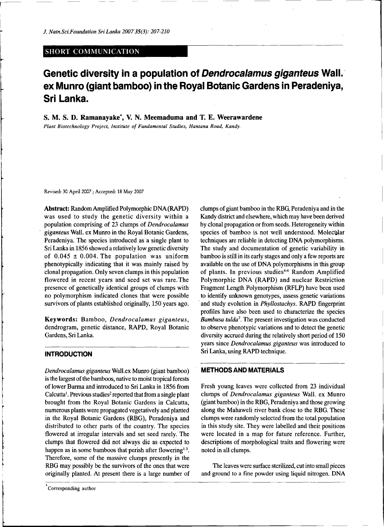## SHORT COMMUNICATION

# **Genetic diversity in a population of** *Dendrocalamus giganteus* **Wall, ex Munro (giant bamboo) in the Royal Botanic Gardens in Peradeniya, Sri Lanka.**

**S. M. S. D. Ramanayake\*, V. N. Meemaduma and T. E. Weerawardene** 

*Plant Biotechnology Project, Institute of Fundamental Studies, Hantana Road, Kandy.* 

**Revised: 30 April 2007 ; Accepted: 18 May 2007** 

Abstract: Random Amplified Polymorphic DNA (RAPD) was used to study the genetic diversity within a population comprising of 23 clumps of *Dendrocalamus giganteus* Wall, ex Munro in the Royal Botanic Gardens, Peradeniya. The species introduced as a single plant to Sri Lanka in 1856 showed a relatively low genetic diversity of  $0.045 \pm 0.004$ . The population was uniform phenotypically indicating that it was mainly raised by clonal propagation. Only seven clumps in this population flowered in recent years and seed set was rare.The presence of genetically identical groups of clumps with no polymorphism indicated clones that were possible survivors of plants established originally, 150 years ago.

Keywords: Bamboo, *Dendrocalamus giganteus,*  dendrogram, genetic distance, RAPD, Royal Botanic Gardens, Sri Lanka.

# **INTRODUCTION**

*Dendrocalamus giganteus* Wall.ex Munro (giant bamboo) is the largest of the bamboos, native to moist tropical forests of lower Burma and introduced to Sri Lanka in 1856 from Calcutta<sup>1</sup>. Previous studies<sup>2</sup> reported that from a single plant brought from the Royal Botanic Gardens in Calcutta, numerous plants were propagated vegetatively and planted in the Royal Botanic Gardens (RBG), Peradeniya and distributed to other parts of the country. The species flowered at irregular intervals and set seed rarely. The clumps that flowered did not always die as expected to happen as in some bamboos that perish after flowering<sup>1-3</sup>. Therefore, some of the massive clumps presently in the RBG may possibly be the survivors of the ones that were originally planted. At present there is a large number of clumps of giant bamboo in the RBG Peradeniya and in the Kandy district and elsewhere, which may have been derived by clonal propagation or from seeds. Heterogeneity within species of bamboo is not well understood. Molecular techniques are reliable in detecting DNA polymorphisms. The study and documentation of genetic variability in bamboo is still in its early stages and only a few reports are available on the use of DNA polymorphisms in this group of plants. In previous studies<sup>4-6</sup> Random Amplified Polymorphic DNA (RAPD) and nuclear Restriction Fragment Length Polymorphism (RFLP) have been used to identify unknown genotypes, assess genetic variations and study evolution in *Phyllostachys.* RAPD fingerprint profiles have also been used to characterize the species *Bambusa tulda<sup>1</sup> .* The present investigation was conducted to observe phenotypic variations and to detect the genetic diversity accrued during the relatively short period of 150 years since *Dendrocalamus giganteus* was introduced to Sri Lanka, using RAPD technique.

#### **METHODS AND MATERIALS**

Fresh young leaves were collected from 23 individual clumps of *Dendrocalamus giganteus* Wall, ex Munro (giant bamboo) in the RBG, Peradeniya and those growing along the Mahaweli river bank close to the RBG. These clumps were randomly selected from the total population in this study site. They were labelled and their positions were located in a map for future reference. Further, descriptions of morphological traits and flowering were noted in all clumps.

The leaves were surface sterilized, cut into small pieces and ground to a fine powder using liquid nitrogen. DNA

**Corresponding author**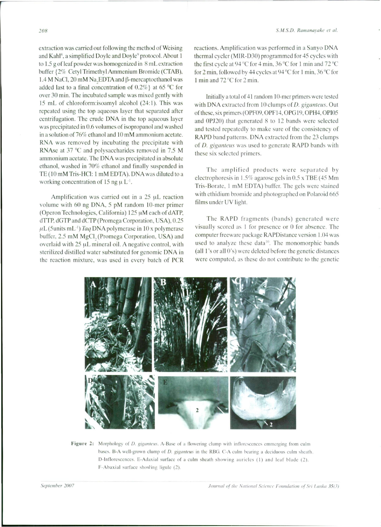extraction was carried out following the method of Weising and Kahl<sup>8</sup>, a simplified Doyle and Doyle<sup>9</sup> protocol. About 1 to 1.5 g of leaf powder was homogenized in 8 mL extraction buffer {2% Cetyl Trimethyl Ammenium Bromide (CTAB), 1.4 M NaCl,  $20 \text{ mM}$  Na<sub>c</sub>EDTA and  $\beta$ -mercaptoethanol was added last to a final concentration of  $0.2\%$ } at 65 °C for over 30 min. The incubated sample was mixed gently with 15 mL of chloroform:isoamyl alcohol (24:1). This was repeated using the top aqueous layer that separated after centrifugation. The crude DNA in the top aqueous layer was precipitated in 0.6 volumes of isopropanol and washed in a solution of 76% ethanol and 10 mM ammonium acetate. RNA was removed by incubating the precipitate with RNAse at 37 "C and polysaccharides removed in 7.5 M ammonium acetate. The DNA was precipitated in absolute ethanol, washed in 70% ethanol and finally suspended in TE(10mMTris-HCl: 1 mM EDTA). DNA was diluted to a working concentration of 15 ng u  $L<sup>1</sup>$ .

Amplification was carried out in a 25 µL reaction volume with 60 ng DNA, 5 pM random 10-mer primer (Operon Technologies, California)  $125 \mu$ M each of dATP, dTTP, dGTP and dCTP (Promega Corporation, USA), 0.25  $\mu$ L(5units mL<sup>-1</sup>) *Taq* DNA polymerase in 10 x polymerase buffer, 2.5 mM MgCl, (Promega Corporation. USA) and overlaid with 25 uL mineral oil. A negative control, with sterilized distilled water substituted for genomic DNA in the reaction mixture, was used in every batch of PCR reactions. Amplification was performed in a Sanyo DNA thermal cycler (MIR-D30) programmed for 45 cycles with the first cycle at 94 "C for 4 min. 36 "C for 1 min and 72 "C for 2 min, followed by 44 cycles at 94 "C for 1 min, 36 "C for 1 min and 72 "C for 2 min.

Initially a total of 41 random 10-mer primers were tested with DNA extracted from 10 clumps of *D. giganteus.* Out of these, six primers (OPF09, OPF14, OPG19, OPH4, OPI05 and 0PJ20) that generated 8 to 12 bands were selected and tested repeatedly to make sure of the consistency of RAPD band patterns. DNA extracted from the 23 clumps of *D. giganteus* was used to generate RAPD bands with these six selected primers.

The amplified products were separated by electrophoresis in 1.5% agarose gels in 0.5 x TBE (45 Mm Tris-Borate, I mM EDTA) buffer. The gels were stained with ethidium bromide and photographed on Polaroid 665 films under UV light.

The RAPD fragments (bands) generated were visually scored as 1 for presence or 0 for absence. The computer freeware package RAPDistance version 1.04 was used to analyze these data<sup>10</sup>. The monomorphic bands (all 1 's or all 0's) were deleted before the genetic distances were computed, as these do not contribute to the genetic



Figure 2: Morphology of D. giganteus. A-Base of a flowering clump with inflorescences emmerging from culm **bases. B- A well-grow n clum p o f** *D. giganteus* **in the RBG . C- A cul m bearin g a deciduou s cul m sheath . D-Inflorescences . E-Adaxia l surfac e o f a cul m sheath showin g auricle s (I ) an d lea f blad e (2) . F-Abaxia l surfac e showin g ligul e (2) .**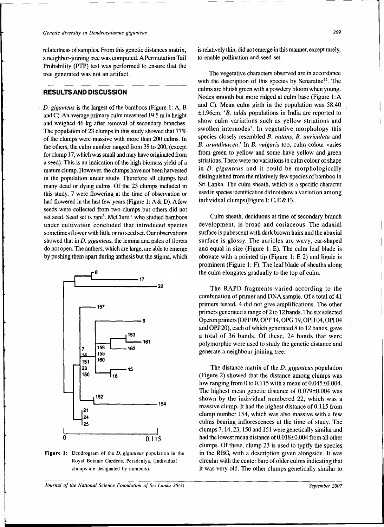relatedness of samples. From this genetic distances matrix, a neighbor-joining tree was computed. A Permutation Tail Probability (FTP) test was performed to ensure that the tree generated was not an artifact.

## **RESULTS AND DISCUSSION**

*D. giganteus* is the largest of the bamboos (Figure 1: A, B and C). An average primary culm measured 19.5 m in height and weighed 46 kg after removal of secondary branches. The population of 23 clumps in this study showed that 77% of the clumps were massive with more than 200 culms. In the others, the culm number ranged from 38 to 200, (except for clump 17, which was small and may have originated from a seed). This is an indication of the high biomass yield of a mature clump. However, the clumps have not been harvested in the population under study. Therefore all clumps had many dead or dying culms. Of the 23 clumps included in this study, 7 were flowering at the time of observation or had flowered in the last few years (Figure 1: A & D). A few seeds were collected from two clumps but others did not set seed. Seed set is rare<sup>3</sup>. McClure<sup>11</sup> who studied bamboos under cultivation concluded that introduced species sometimes flower with little or no seed set. Our observations showed that in *D. giganteus,* the lemma and palea of florets do not open. The anthers, which are large, are able to emerge by pushing them apart during anthesis but the stigma, which



**Figure 1: Dendrogram of the** *D. giganteus* **population in the Royal Botanic Gardens, Peradeniya, (individual clumps are designated by numbers).** 

*Journal of the National Science Foundation of Sri Lanka 35(3)* September 2007 **September 2007** 

is relatively thin, did not emerge in this manner, except rarely, to enable pollination and seed set.

The vegetative characters observed are in accordance with the description of this species by Senaratne<sup>12</sup>. The culms are bluish green with a powdery bloom when young. Nodes smooth but more ridged at culm base (Figure 1:A and C). Mean culm girth in the population was 58.40 ±1.96cm. *<sup>l</sup>B. tulda* populations in India are reported to show culm variations such as yellow striations and swollen internodes<sup>7</sup>. In vegetative morphology this species closely resembled *B. nutans, B. auriculata* and *B. arundinacea.'* In *B. vulgaris* too, culm colour varies from green to yellow and some have yellow and green striations. There were no variations in culm colour or shape in *D. giganteus* and it could be morphologically distinguished from the relatively few species of bamboo in Sri Lanka. The culm sheath, which is a specific character used in species identification did not show a variation among individual clumps (Figure 1:  $C$ , E & F).

Culm sheath, deciduous at time of secondary branch development, is broad and coriaceous. The adaxial surface is pubescent with dark brown hairs and the abaxial surface is glossy. The auricles are wavy, ear-shaped and equal in size (Figure 1: E). The culm leaf blade is obovate with a pointed tip (Figure 1: E 2) and ligule is prominent (Figure 1: F). The leaf blade of sheaths along the culm elongates gradually to the top of culm.

The RAPD fragments varied according to the combination of primer and DNA sample. Of a total of 41 primers tested, 4 did not give amplifications. The other primers generated a range of 2 to 12 bands. The six selected Operon primers (OPF 09, OPF14, OPG19, OPH 04, OPI04 and OPJ 20), each of which generated 8 to 12 bands, gave a total of 36 bands. Of these, 24 bands that were polymorphic were used to study the genetic distance and generate a neighbour-joining tree.

The distance matrix of the *D. giganteus* population (Figure 2) showed that the distance among clumps was low ranging from 0 to 0.115 with a mean of 0.045±0.004. The highest mean genetic distance of 0.079±0.004 was shown by the individual numbered 22, which was a massive clump. It had the highest distance of 0.115 from clump number 154, which was also massive with a few culms bearing inflorescences at the time of study. The clumps 7,14,23,150 and 151 were genetically similar and had the lowest mean distance of  $0.018\pm0.004$  from all other clumps. Of these, clump 23 is used to typify the species in the RBG, with a description given alongside. It was circular with the center bare of older culms indicating that it was very old. The other clumps genetically similar to